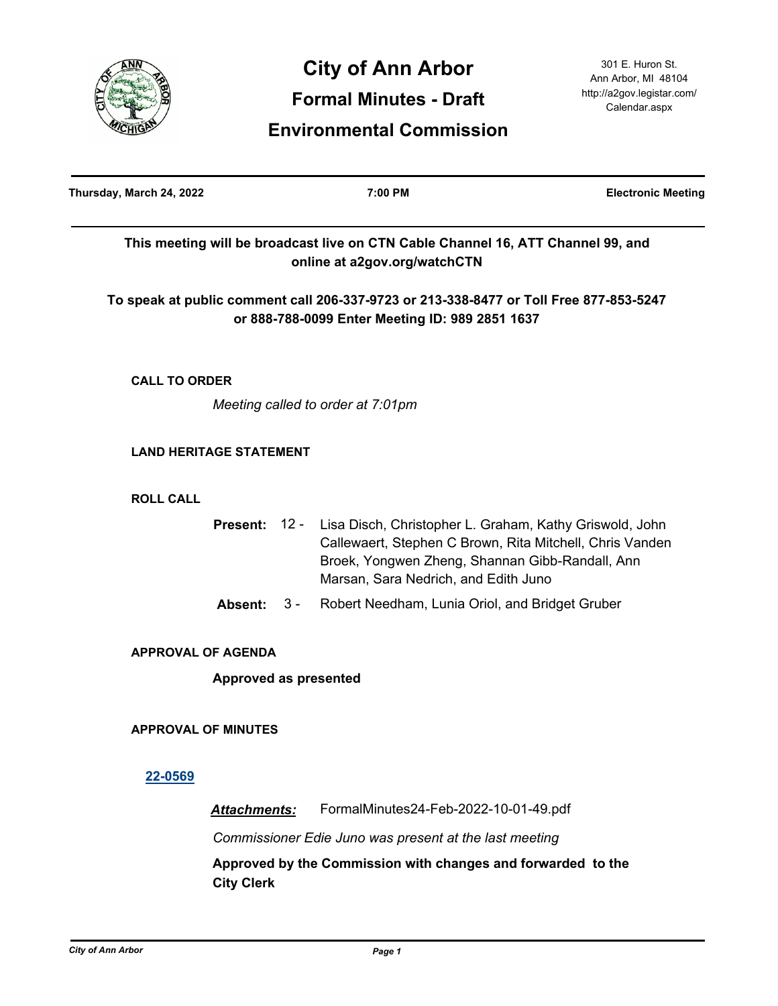

| Thursday, March 24, 2022       |                       |       | 7:00 PM                                                                                                                                                                                                                      | <b>Electronic Meeting</b> |
|--------------------------------|-----------------------|-------|------------------------------------------------------------------------------------------------------------------------------------------------------------------------------------------------------------------------------|---------------------------|
|                                |                       |       | This meeting will be broadcast live on CTN Cable Channel 16, ATT Channel 99, and<br>online at a2gov.org/watchCTN                                                                                                             |                           |
|                                |                       |       | To speak at public comment call 206-337-9723 or 213-338-8477 or Toll Free 877-853-5247<br>or 888-788-0099 Enter Meeting ID: 989 2851 1637                                                                                    |                           |
| <b>CALL TO ORDER</b>           |                       |       |                                                                                                                                                                                                                              |                           |
|                                |                       |       | Meeting called to order at 7:01pm                                                                                                                                                                                            |                           |
| <b>LAND HERITAGE STATEMENT</b> |                       |       |                                                                                                                                                                                                                              |                           |
| <b>ROLL CALL</b>               |                       |       |                                                                                                                                                                                                                              |                           |
|                                |                       |       | Present: 12 - Lisa Disch, Christopher L. Graham, Kathy Griswold, John<br>Callewaert, Stephen C Brown, Rita Mitchell, Chris Vanden<br>Broek, Yongwen Zheng, Shannan Gibb-Randall, Ann<br>Marsan, Sara Nedrich, and Edith Juno |                           |
|                                | Absent:               | $3 -$ | Robert Needham, Lunia Oriol, and Bridget Gruber                                                                                                                                                                              |                           |
| <b>APPROVAL OF AGENDA</b>      |                       |       |                                                                                                                                                                                                                              |                           |
|                                | Approved as presented |       |                                                                                                                                                                                                                              |                           |
| <b>APPROVAL OF MINUTES</b>     |                       |       |                                                                                                                                                                                                                              |                           |
| 22-0569                        |                       |       |                                                                                                                                                                                                                              |                           |
|                                | <b>Attachments:</b>   |       | FormalMinutes24-Feb-2022-10-01-49.pdf                                                                                                                                                                                        |                           |
|                                |                       |       | Commissioner Edie Juno was present at the last meeting                                                                                                                                                                       |                           |

**Approved by the Commission with changes and forwarded to the City Clerk**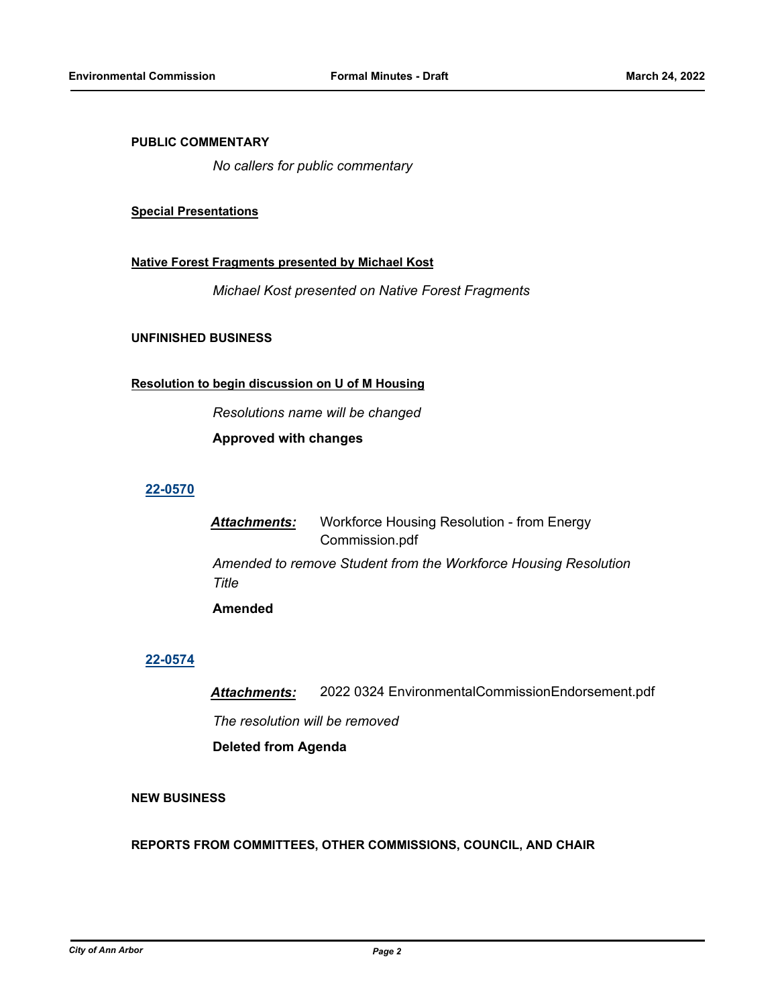## **PUBLIC COMMENTARY**

*No callers for public commentary*

#### **Special Presentations**

#### **Native Forest Fragments presented by Michael Kost**

*Michael Kost presented on Native Forest Fragments*

### **UNFINISHED BUSINESS**

## **Resolution to begin discussion on U of M Housing**

*Resolutions name will be changed*

**Approved with changes**

# **[22-0570](http://a2gov.legistar.com/gateway.aspx?M=L&ID=29748)**

*Attachments:* Workforce Housing Resolution - from Energy Commission.pdf *Amended to remove Student from the Workforce Housing Resolution Title* **Amended**

#### **[22-0574](http://a2gov.legistar.com/gateway.aspx?M=L&ID=29752)**

*Attachments:* 2022 0324 EnvironmentalCommissionEndorsement.pdf *The resolution will be removed* **Deleted from Agenda**

# **NEW BUSINESS**

#### **REPORTS FROM COMMITTEES, OTHER COMMISSIONS, COUNCIL, AND CHAIR**